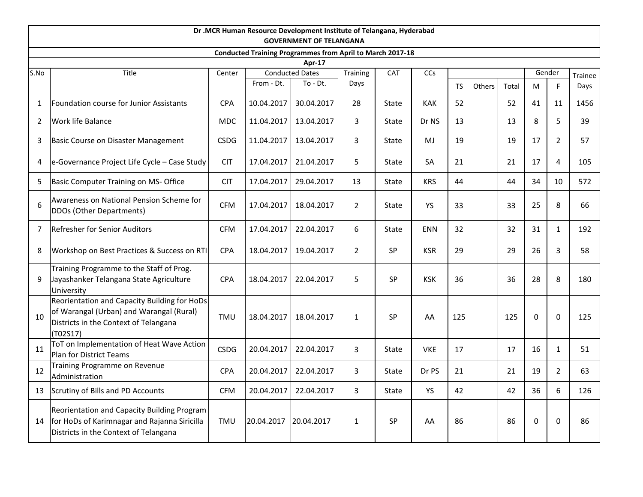|      |                                                                                                                                               |             |            | Dr .MCR Human Resource Development Institute of Telangana, Hyderabad<br><b>GOVERNMENT OF TELANGANA</b> |                |              |            |           |        |       |          |                |         |
|------|-----------------------------------------------------------------------------------------------------------------------------------------------|-------------|------------|--------------------------------------------------------------------------------------------------------|----------------|--------------|------------|-----------|--------|-------|----------|----------------|---------|
|      |                                                                                                                                               |             |            | <b>Conducted Training Programmes from April to March 2017-18</b>                                       |                |              |            |           |        |       |          |                |         |
|      |                                                                                                                                               |             |            | Apr-17                                                                                                 |                |              |            |           |        |       |          |                |         |
| S.No | Title                                                                                                                                         | Center      |            | <b>Conducted Dates</b>                                                                                 | Training       | CAT          | CCs        |           |        |       |          | Gender         | Trainee |
|      |                                                                                                                                               |             | From - Dt. | To - Dt.                                                                                               | Days           |              |            | <b>TS</b> | Others | Total | M        | F              | Days    |
| 1    | Foundation course for Junior Assistants                                                                                                       | <b>CPA</b>  | 10.04.2017 | 30.04.2017                                                                                             | 28             | <b>State</b> | <b>KAK</b> | 52        |        | 52    | 41       | 11             | 1456    |
| 2    | Work life Balance                                                                                                                             | <b>MDC</b>  | 11.04.2017 | 13.04.2017                                                                                             | $\overline{3}$ | State        | Dr NS      | 13        |        | 13    | 8        | 5              | 39      |
| 3    | Basic Course on Disaster Management                                                                                                           | <b>CSDG</b> | 11.04.2017 | 13.04.2017                                                                                             | 3              | State        | MJ         | 19        |        | 19    | 17       | $\overline{2}$ | 57      |
| 4    | e-Governance Project Life Cycle - Case Study                                                                                                  | <b>CIT</b>  | 17.04.2017 | 21.04.2017                                                                                             | 5              | State        | <b>SA</b>  | 21        |        | 21    | 17       | 4              | 105     |
| 5    | Basic Computer Training on MS- Office                                                                                                         | <b>CIT</b>  | 17.04.2017 | 29.04.2017                                                                                             | 13             | <b>State</b> | <b>KRS</b> | 44        |        | 44    | 34       | 10             | 572     |
| 6    | Awareness on National Pension Scheme for<br>DDOs (Other Departments)                                                                          | <b>CFM</b>  | 17.04.2017 | 18.04.2017                                                                                             | $\overline{2}$ | State        | YS         | 33        |        | 33    | 25       | 8              | 66      |
| 7    | Refresher for Senior Auditors                                                                                                                 | <b>CFM</b>  | 17.04.2017 | 22.04.2017                                                                                             | 6              | State        | ENN        | 32        |        | 32    | 31       | $\mathbf{1}$   | 192     |
| 8    | Workshop on Best Practices & Success on RTI                                                                                                   | CPA         | 18.04.2017 | 19.04.2017                                                                                             | $\overline{2}$ | <b>SP</b>    | <b>KSR</b> | 29        |        | 29    | 26       | 3              | 58      |
| 9    | Training Programme to the Staff of Prog.<br>Jayashanker Telangana State Agriculture<br>University                                             | <b>CPA</b>  | 18.04.2017 | 22.04.2017                                                                                             | 5              | SP           | <b>KSK</b> | 36        |        | 36    | 28       | 8              | 180     |
| 10   | Reorientation and Capacity Building for HoDs<br>of Warangal (Urban) and Warangal (Rural)<br>Districts in the Context of Telangana<br>(T02S17) | <b>TMU</b>  | 18.04.2017 | 18.04.2017                                                                                             | $\mathbf{1}$   | <b>SP</b>    | AA         | 125       |        | 125   | $\Omega$ | $\Omega$       | 125     |
| 11   | ToT on Implementation of Heat Wave Action<br>Plan for District Teams                                                                          | <b>CSDG</b> | 20.04.2017 | 22.04.2017                                                                                             | 3              | State        | <b>VKE</b> | 17        |        | 17    | 16       | $\mathbf{1}$   | 51      |
| 12   | Training Programme on Revenue<br>Administration                                                                                               | <b>CPA</b>  | 20.04.2017 | 22.04.2017                                                                                             | $\mathbf{3}$   | State        | Dr PS      | 21        |        | 21    | 19       | $\overline{2}$ | 63      |
| 13   | Scrutiny of Bills and PD Accounts                                                                                                             | <b>CFM</b>  | 20.04.2017 | 22.04.2017                                                                                             | 3              | State        | <b>YS</b>  | 42        |        | 42    | 36       | 6              | 126     |
| 14   | Reorientation and Capacity Building Program<br>for HoDs of Karimnagar and Rajanna Siricilla<br>Districts in the Context of Telangana          | <b>TMU</b>  | 20.04.2017 | 20.04.2017                                                                                             | $\mathbf{1}$   | <b>SP</b>    | AA         | 86        |        | 86    | $\Omega$ | $\Omega$       | 86      |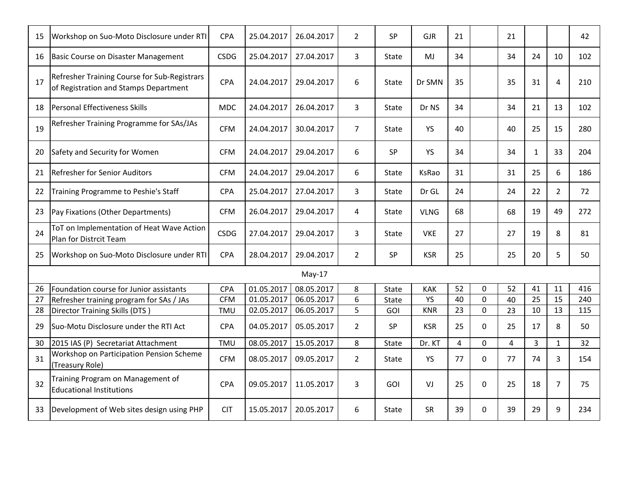| 15 | Workshop on Suo-Moto Disclosure under RTI                                             | <b>CPA</b>  | 25.04.2017 | 26.04.2017 | $\overline{2}$ | <b>SP</b>    | <b>GJR</b>  | 21             |              | 21 |              |                | 42  |
|----|---------------------------------------------------------------------------------------|-------------|------------|------------|----------------|--------------|-------------|----------------|--------------|----|--------------|----------------|-----|
| 16 | Basic Course on Disaster Management                                                   | <b>CSDG</b> | 25.04.2017 | 27.04.2017 | 3              | <b>State</b> | MJ          | 34             |              | 34 | 24           | 10             | 102 |
| 17 | Refresher Training Course for Sub-Registrars<br>of Registration and Stamps Department | <b>CPA</b>  | 24.04.2017 | 29.04.2017 | 6              | State        | Dr SMN      | 35             |              | 35 | 31           | $\overline{4}$ | 210 |
| 18 | Personal Effectiveness Skills                                                         | <b>MDC</b>  | 24.04.2017 | 26.04.2017 | 3              | State        | Dr NS       | 34             |              | 34 | 21           | 13             | 102 |
| 19 | Refresher Training Programme for SAs/JAs                                              | <b>CFM</b>  | 24.04.2017 | 30.04.2017 | $\overline{7}$ | State        | YS          | 40             |              | 40 | 25           | 15             | 280 |
| 20 | Safety and Security for Women                                                         | <b>CFM</b>  | 24.04.2017 | 29.04.2017 | 6              | SP           | YS          | 34             |              | 34 | $\mathbf{1}$ | 33             | 204 |
| 21 | <b>Refresher for Senior Auditors</b>                                                  | <b>CFM</b>  | 24.04.2017 | 29.04.2017 | 6              | State        | KsRao       | 31             |              | 31 | 25           | 6              | 186 |
| 22 | Training Programme to Peshie's Staff                                                  | <b>CPA</b>  | 25.04.2017 | 27.04.2017 | 3              | State        | Dr GL       | 24             |              | 24 | 22           | 2              | 72  |
| 23 | Pay Fixations (Other Departments)                                                     | <b>CFM</b>  | 26.04.2017 | 29.04.2017 | 4              | State        | <b>VLNG</b> | 68             |              | 68 | 19           | 49             | 272 |
| 24 | ToT on Implementation of Heat Wave Action<br>Plan for Distrcit Team                   | <b>CSDG</b> | 27.04.2017 | 29.04.2017 | 3              | State        | <b>VKE</b>  | 27             |              | 27 | 19           | 8              | 81  |
| 25 | Workshop on Suo-Moto Disclosure under RTI                                             | <b>CPA</b>  | 28.04.2017 | 29.04.2017 | $\overline{2}$ | <b>SP</b>    | <b>KSR</b>  | 25             |              | 25 | 20           | 5              | 50  |
|    |                                                                                       |             |            | $May-17$   |                |              |             |                |              |    |              |                |     |
| 26 | Foundation course for Junior assistants                                               | CPA         | 01.05.2017 | 08.05.2017 | 8              | State        | <b>KAK</b>  | 52             | 0            | 52 | 41           | 11             | 416 |
| 27 | Refresher training program for SAs / JAs                                              | <b>CFM</b>  | 01.05.2017 | 06.05.2017 | 6              | State        | <b>YS</b>   | 40             | $\Omega$     | 40 | 25           | 15             | 240 |
| 28 | <b>Director Training Skills (DTS)</b>                                                 | TMU         | 02.05.2017 | 06.05.2017 | 5              | GOI          | <b>KNR</b>  | 23             | $\Omega$     | 23 | 10           | 13             | 115 |
| 29 | Suo-Motu Disclosure under the RTI Act                                                 | CPA         | 04.05.2017 | 05.05.2017 | $\overline{2}$ | SP           | <b>KSR</b>  | 25             | $\Omega$     | 25 | 17           | 8              | 50  |
| 30 | 2015 IAS (P) Secretariat Attachment                                                   | <b>TMU</b>  | 08.05.2017 | 15.05.2017 | 8              | State        | Dr. KT      | $\overline{4}$ | $\Omega$     | 4  | 3            | $\mathbf{1}$   | 32  |
| 31 | Workshop on Participation Pension Scheme<br>(Treasury Role)                           | <b>CFM</b>  | 08.05.2017 | 09.05.2017 | $\overline{2}$ | State        | YS          | 77             | $\mathbf{0}$ | 77 | 74           | 3              | 154 |
| 32 | Training Program on Management of<br><b>Educational Institutions</b>                  | <b>CPA</b>  | 09.05.2017 | 11.05.2017 | 3              | <b>GOI</b>   | VJ          | 25             | 0            | 25 | 18           | $\overline{7}$ | 75  |
| 33 | Development of Web sites design using PHP                                             | <b>CIT</b>  | 15.05.2017 | 20.05.2017 | 6              | State        | <b>SR</b>   | 39             | $\Omega$     | 39 | 29           | $\mathbf{q}$   | 234 |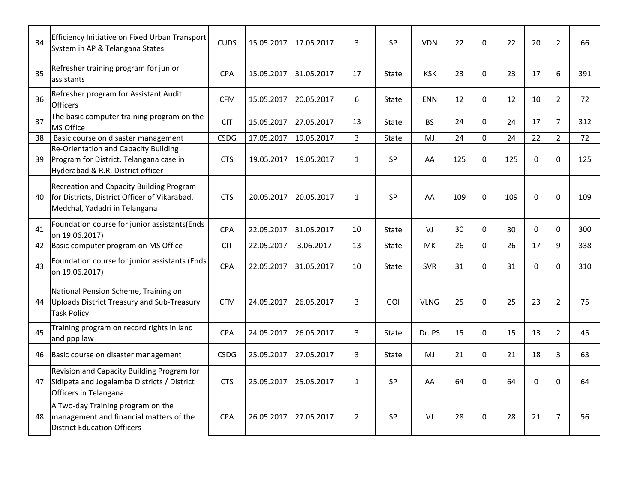| 34 | Efficiency Initiative on Fixed Urban Transport<br>System in AP & Telangana States                                           | <b>CUDS</b> | 15.05.2017 | 17.05.2017 | 3              | SP        | <b>VDN</b>  | 22  | $\Omega$     | 22  | 20          | $\overline{2}$ | 66  |
|----|-----------------------------------------------------------------------------------------------------------------------------|-------------|------------|------------|----------------|-----------|-------------|-----|--------------|-----|-------------|----------------|-----|
| 35 | Refresher training program for junior<br>assistants                                                                         | CPA         | 15.05.2017 | 31.05.2017 | 17             | State     | <b>KSK</b>  | 23  | $\Omega$     | 23  | 17          | 6              | 391 |
| 36 | Refresher program for Assistant Audit<br><b>Officers</b>                                                                    | <b>CFM</b>  | 15.05.2017 | 20.05.2017 | 6              | State     | <b>ENN</b>  | 12  | $\mathbf{0}$ | 12  | 10          | $\overline{2}$ | 72  |
| 37 | The basic computer training program on the<br>MS Office                                                                     | <b>CIT</b>  | 15.05.2017 | 27.05.2017 | 13             | State     | <b>BS</b>   | 24  | $\Omega$     | 24  | 17          | $\overline{7}$ | 312 |
| 38 | Basic course on disaster management                                                                                         | <b>CSDG</b> | 17.05.2017 | 19.05.2017 | $\overline{3}$ | State     | MJ          | 24  | $\Omega$     | 24  | 22          | $\overline{2}$ | 72  |
| 39 | <b>Re-Orientation and Capacity Building</b><br>Program for District. Telangana case in<br>Hyderabad & R.R. District officer | <b>CTS</b>  | 19.05.2017 | 19.05.2017 | $\mathbf{1}$   | SP        | AA          | 125 | $\Omega$     | 125 | $\Omega$    | $\Omega$       | 125 |
| 40 | Recreation and Capacity Building Program<br>for Districts, District Officer of Vikarabad,<br>Medchal, Yadadri in Telangana  | <b>CTS</b>  | 20.05.2017 | 20.05.2017 | $\mathbf{1}$   | <b>SP</b> | AA          | 109 | $\Omega$     | 109 | $\Omega$    | $\Omega$       | 109 |
| 41 | Foundation course for junior assistants(Ends<br>on 19.06.2017)                                                              | CPA         | 22.05.2017 | 31.05.2017 | 10             | State     | VJ          | 30  | $\Omega$     | 30  | $\Omega$    | $\Omega$       | 300 |
| 42 | Basic computer program on MS Office                                                                                         | <b>CIT</b>  | 22.05.2017 | 3.06.2017  | 13             | State     | MK          | 26  | $\Omega$     | 26  | 17          | 9              | 338 |
| 43 | Foundation course for junior assistants (Ends<br>on 19.06.2017)                                                             | CPA         | 22.05.2017 | 31.05.2017 | 10             | State     | <b>SVR</b>  | 31  | $\Omega$     | 31  | $\Omega$    | $\Omega$       | 310 |
| 44 | National Pension Scheme, Training on<br>Uploads District Treasury and Sub-Treasury<br><b>Task Policy</b>                    | <b>CFM</b>  | 24.05.2017 | 26.05.2017 | 3              | GOI       | <b>VLNG</b> | 25  | $\Omega$     | 25  | 23          | $\overline{2}$ | 75  |
| 45 | Training program on record rights in land<br>and ppp law                                                                    | CPA         | 24.05.2017 | 26.05.2017 | 3              | State     | Dr. PS      | 15  | $\mathbf{0}$ | 15  | 13          | $\overline{2}$ | 45  |
| 46 | Basic course on disaster management                                                                                         | <b>CSDG</b> | 25.05.2017 | 27.05.2017 | 3              | State     | MJ          | 21  | $\Omega$     | 21  | 18          | 3              | 63  |
| 47 | Revision and Capacity Building Program for<br>Sidipeta and Jogalamba Districts / District<br>Officers in Telangana          | <b>CTS</b>  | 25.05.2017 | 25.05.2017 | $\mathbf{1}$   | <b>SP</b> | AA          | 64  | $\Omega$     | 64  | $\mathbf 0$ | $\Omega$       | 64  |
| 48 | A Two-day Training program on the<br>management and financial matters of the<br><b>District Education Officers</b>          | CPA         | 26.05.2017 | 27.05.2017 | $\overline{2}$ | <b>SP</b> | VJ          | 28  | $\Omega$     | 28  | 21          | $\overline{7}$ | 56  |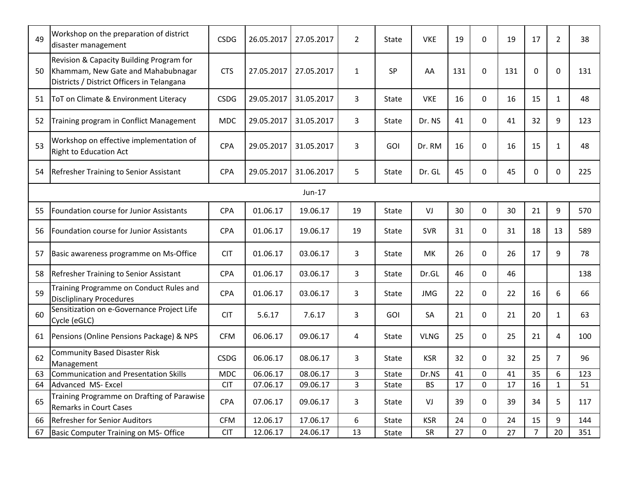| 49 | Workshop on the preparation of district<br>disaster management                                                               | <b>CSDG</b> | 26.05.2017 | 27.05.2017 | $\overline{2}$ | State        | <b>VKE</b>  | 19  | $\Omega$ | 19  | 17 | $\overline{2}$ | 38  |
|----|------------------------------------------------------------------------------------------------------------------------------|-------------|------------|------------|----------------|--------------|-------------|-----|----------|-----|----|----------------|-----|
| 50 | Revision & Capacity Building Program for<br>Khammam, New Gate and Mahabubnagar<br>Districts / District Officers in Telangana | <b>CTS</b>  | 27.05.2017 | 27.05.2017 | $\mathbf{1}$   | <b>SP</b>    | AA          | 131 | 0        | 131 | 0  | $\mathbf 0$    | 131 |
| 51 | ToT on Climate & Environment Literacy                                                                                        | <b>CSDG</b> | 29.05.2017 | 31.05.2017 | 3              | State        | <b>VKE</b>  | 16  | 0        | 16  | 15 | $\mathbf{1}$   | 48  |
| 52 | Training program in Conflict Management                                                                                      | <b>MDC</b>  | 29.05.2017 | 31.05.2017 | 3              | State        | Dr. NS      | 41  | $\Omega$ | 41  | 32 | 9              | 123 |
| 53 | Workshop on effective implementation of<br><b>Right to Education Act</b>                                                     | <b>CPA</b>  | 29.05.2017 | 31.05.2017 | 3              | GOI          | Dr. RM      | 16  | 0        | 16  | 15 | $\mathbf{1}$   | 48  |
| 54 | Refresher Training to Senior Assistant                                                                                       | <b>CPA</b>  | 29.05.2017 | 31.06.2017 | 5              | State        | Dr. GL      | 45  | 0        | 45  | 0  | $\mathbf{0}$   | 225 |
|    |                                                                                                                              |             |            | Jun-17     |                |              |             |     |          |     |    |                |     |
| 55 | Foundation course for Junior Assistants                                                                                      | <b>CPA</b>  | 01.06.17   | 19.06.17   | 19             | <b>State</b> | VJ          | 30  | 0        | 30  | 21 | 9              | 570 |
| 56 | Foundation course for Junior Assistants                                                                                      | <b>CPA</b>  | 01.06.17   | 19.06.17   | 19             | State        | <b>SVR</b>  | 31  | $\Omega$ | 31  | 18 | 13             | 589 |
| 57 | Basic awareness programme on Ms-Office                                                                                       | <b>CIT</b>  | 01.06.17   | 03.06.17   | 3              | State        | <b>MK</b>   | 26  | 0        | 26  | 17 | 9              | 78  |
| 58 | <b>Refresher Training to Senior Assistant</b>                                                                                | <b>CPA</b>  | 01.06.17   | 03.06.17   | 3              | State        | Dr.GL       | 46  | 0        | 46  |    |                | 138 |
| 59 | Training Programme on Conduct Rules and<br><b>Discliplinary Procedures</b>                                                   | <b>CPA</b>  | 01.06.17   | 03.06.17   | 3              | State        | <b>JMG</b>  | 22  | $\Omega$ | 22  | 16 | 6              | 66  |
| 60 | Sensitization on e-Governance Project Life<br>Cycle (eGLC)                                                                   | <b>CIT</b>  | 5.6.17     | 7.6.17     | 3              | GOI          | SA          | 21  | 0        | 21  | 20 | $\mathbf{1}$   | 63  |
| 61 | Pensions (Online Pensions Package) & NPS                                                                                     | <b>CFM</b>  | 06.06.17   | 09.06.17   | 4              | State        | <b>VLNG</b> | 25  | $\Omega$ | 25  | 21 | 4              | 100 |
| 62 | <b>Community Based Disaster Risk</b><br>Management                                                                           | <b>CSDG</b> | 06.06.17   | 08.06.17   | 3              | State        | <b>KSR</b>  | 32  | 0        | 32  | 25 | $\overline{7}$ | 96  |
| 63 | <b>Communication and Presentation Skills</b>                                                                                 | <b>MDC</b>  | 06.06.17   | 08.06.17   | 3              | State        | Dr.NS       | 41  | 0        | 41  | 35 | 6              | 123 |
| 64 | Advanced MS- Excel                                                                                                           | <b>CIT</b>  | 07.06.17   | 09.06.17   | $\overline{3}$ | <b>State</b> | <b>BS</b>   | 17  | 0        | 17  | 16 | $\mathbf{1}$   | 51  |
| 65 | Training Programme on Drafting of Parawise<br><b>Remarks in Court Cases</b>                                                  | <b>CPA</b>  | 07.06.17   | 09.06.17   | 3              | State        | VJ          | 39  | 0        | 39  | 34 | 5              | 117 |
| 66 | Refresher for Senior Auditors                                                                                                | <b>CFM</b>  | 12.06.17   | 17.06.17   | 6              | State        | <b>KSR</b>  | 24  | 0        | 24  | 15 | 9              | 144 |
| 67 | Basic Computer Training on MS- Office                                                                                        | <b>CIT</b>  | 12.06.17   | 24.06.17   | 13             | State        | SR          | 27  | 0        | 27  | 7  | 20             | 351 |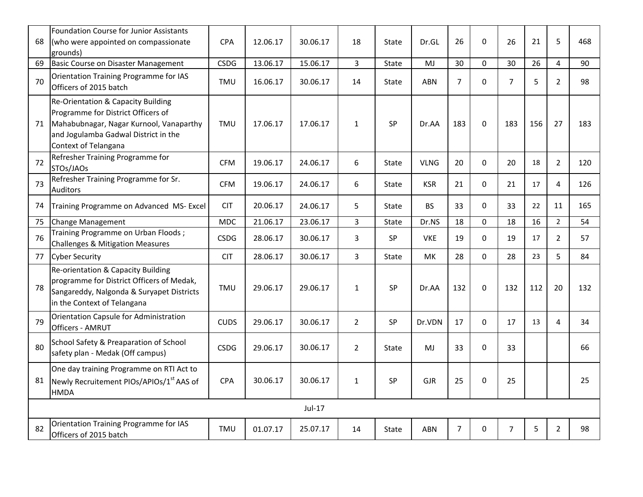| 68 | Foundation Course for Junior Assistants<br>(who were appointed on compassionate                                                                                                                | <b>CPA</b>  | 12.06.17 | 30.06.17 | 18             | State        | Dr.GL       | 26             | 0        | 26             | 21  | 5              | 468 |
|----|------------------------------------------------------------------------------------------------------------------------------------------------------------------------------------------------|-------------|----------|----------|----------------|--------------|-------------|----------------|----------|----------------|-----|----------------|-----|
| 69 | grounds)<br>Basic Course on Disaster Management                                                                                                                                                | <b>CSDG</b> | 13.06.17 | 15.06.17 | $\overline{3}$ | State        | MJ          | 30             | 0        | 30             | 26  | $\overline{4}$ | 90  |
| 70 | Orientation Training Programme for IAS<br>Officers of 2015 batch                                                                                                                               | <b>TMU</b>  | 16.06.17 | 30.06.17 | 14             | <b>State</b> | <b>ABN</b>  | $\overline{7}$ | 0        | $\overline{7}$ | 5   | $\overline{2}$ | 98  |
| 71 | <b>Re-Orientation &amp; Capacity Building</b><br>Programme for District Officers of<br>Mahabubnagar, Nagar Kurnool, Vanaparthy<br>and Jogulamba Gadwal District in the<br>Context of Telangana | <b>TMU</b>  | 17.06.17 | 17.06.17 | $\mathbf{1}$   | SP           | Dr.AA       | 183            | $\Omega$ | 183            | 156 | 27             | 183 |
| 72 | Refresher Training Programme for<br>STOs/JAOs                                                                                                                                                  | <b>CFM</b>  | 19.06.17 | 24.06.17 | 6              | State        | <b>VLNG</b> | 20             | $\Omega$ | 20             | 18  | $\overline{2}$ | 120 |
| 73 | Refresher Training Programme for Sr.<br><b>Auditors</b>                                                                                                                                        | <b>CFM</b>  | 19.06.17 | 24.06.17 | 6              | State        | <b>KSR</b>  | 21             | $\Omega$ | 21             | 17  | 4              | 126 |
| 74 | Training Programme on Advanced MS- Excel                                                                                                                                                       | <b>CIT</b>  | 20.06.17 | 24.06.17 | 5              | State        | <b>BS</b>   | 33             | $\Omega$ | 33             | 22  | 11             | 165 |
| 75 | Change Management                                                                                                                                                                              | <b>MDC</b>  | 21.06.17 | 23.06.17 | 3              | State        | Dr.NS       | 18             | 0        | 18             | 16  | $\overline{2}$ | 54  |
| 76 | Training Programme on Urban Floods;<br>Challenges & Mitigation Measures                                                                                                                        | <b>CSDG</b> | 28.06.17 | 30.06.17 | 3              | SP           | <b>VKE</b>  | 19             | $\Omega$ | 19             | 17  | $\overline{2}$ | 57  |
| 77 | <b>Cyber Security</b>                                                                                                                                                                          | <b>CIT</b>  | 28.06.17 | 30.06.17 | $\overline{3}$ | State        | MK          | 28             | 0        | 28             | 23  | 5              | 84  |
| 78 | Re-orientation & Capacity Building<br>programme for District Officers of Medak,<br>Sangareddy, Nalgonda & Suryapet Districts<br>in the Context of Telangana                                    | TMU         | 29.06.17 | 29.06.17 | $\mathbf{1}$   | SP           | Dr.AA       | 132            | 0        | 132            | 112 | 20             | 132 |
| 79 | Orientation Capsule for Administration<br>Officers - AMRUT                                                                                                                                     | <b>CUDS</b> | 29.06.17 | 30.06.17 | $\overline{2}$ | SP           | Dr.VDN      | 17             | 0        | 17             | 13  | $\overline{a}$ | 34  |
| 80 | School Safety & Preaparation of School<br>safety plan - Medak (Off campus)                                                                                                                     | <b>CSDG</b> | 29.06.17 | 30.06.17 | $\overline{2}$ | State        | MJ          | 33             | $\Omega$ | 33             |     |                | 66  |
| 81 | One day training Programme on RTI Act to<br>Newly Recruitement PIOs/APIOs/1 <sup>st</sup> AAS of<br><b>HMDA</b>                                                                                | <b>CPA</b>  | 30.06.17 | 30.06.17 | $\mathbf{1}$   | SP           | <b>GJR</b>  | 25             | 0        | 25             |     |                | 25  |
|    |                                                                                                                                                                                                |             |          | Jul-17   |                |              |             |                |          |                |     |                |     |
| 82 | Orientation Training Programme for IAS<br>Officers of 2015 batch                                                                                                                               | <b>TMU</b>  | 01.07.17 | 25.07.17 | 14             | State        | <b>ABN</b>  | $\overline{7}$ | 0        | $\overline{7}$ | 5   | $\overline{2}$ | 98  |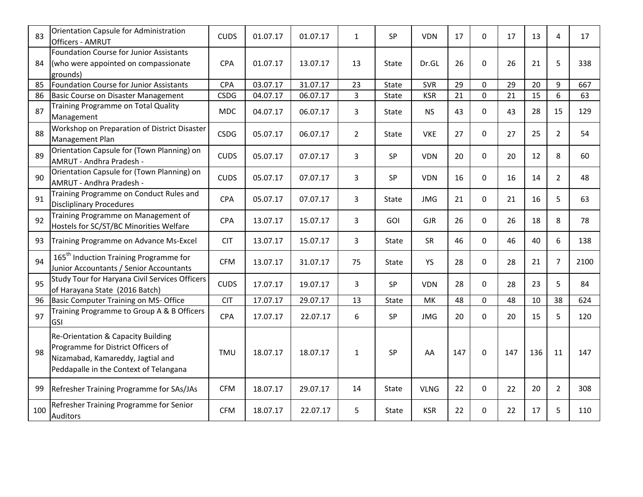| 83  | Orientation Capsule for Administration<br><b>Officers - AMRUT</b>                                                                                       | <b>CUDS</b> | 01.07.17 | 01.07.17 | $\mathbf{1}$   | <b>SP</b>    | <b>VDN</b>  | 17  | $\mathbf{0}$ | 17  | 13  | 4              | 17   |
|-----|---------------------------------------------------------------------------------------------------------------------------------------------------------|-------------|----------|----------|----------------|--------------|-------------|-----|--------------|-----|-----|----------------|------|
| 84  | <b>Foundation Course for Junior Assistants</b><br>(who were appointed on compassionate<br>grounds)                                                      | <b>CPA</b>  | 01.07.17 | 13.07.17 | 13             | State        | Dr.GL       | 26  | $\Omega$     | 26  | 21  | 5              | 338  |
| 85  | Foundation Course for Junior Assistants                                                                                                                 | CPA         | 03.07.17 | 31.07.17 | 23             | <b>State</b> | <b>SVR</b>  | 29  | $\mathbf{0}$ | 29  | 20  | 9              | 667  |
| 86  | Basic Course on Disaster Management                                                                                                                     | <b>CSDG</b> | 04.07.17 | 06.07.17 | 3              | State        | <b>KSR</b>  | 21  | $\Omega$     | 21  | 15  | 6              | 63   |
| 87  | Training Programme on Total Quality<br>Management                                                                                                       | <b>MDC</b>  | 04.07.17 | 06.07.17 | 3              | State        | <b>NS</b>   | 43  | $\Omega$     | 43  | 28  | 15             | 129  |
| 88  | Workshop on Preparation of District Disaster<br>Management Plan                                                                                         | <b>CSDG</b> | 05.07.17 | 06.07.17 | $\overline{2}$ | <b>State</b> | <b>VKE</b>  | 27  | $\Omega$     | 27  | 25  | $\overline{2}$ | 54   |
| 89  | Orientation Capsule for (Town Planning) on<br>AMRUT - Andhra Pradesh -                                                                                  | <b>CUDS</b> | 05.07.17 | 07.07.17 | 3              | SP           | <b>VDN</b>  | 20  | $\Omega$     | 20  | 12  | 8              | 60   |
| 90  | Orientation Capsule for (Town Planning) on<br>AMRUT - Andhra Pradesh -                                                                                  | <b>CUDS</b> | 05.07.17 | 07.07.17 | 3              | SP           | <b>VDN</b>  | 16  | $\Omega$     | 16  | 14  | $\overline{2}$ | 48   |
| 91  | Training Programme on Conduct Rules and<br><b>Discliplinary Procedures</b>                                                                              | <b>CPA</b>  | 05.07.17 | 07.07.17 | 3              | State        | <b>JMG</b>  | 21  | $\Omega$     | 21  | 16  | 5              | 63   |
| 92  | Training Programme on Management of<br>Hostels for SC/ST/BC Minorities Welfare                                                                          | <b>CPA</b>  | 13.07.17 | 15.07.17 | 3              | GOI          | <b>GJR</b>  | 26  | $\Omega$     | 26  | 18  | 8              | 78   |
| 93  | Training Programme on Advance Ms-Excel                                                                                                                  | <b>CIT</b>  | 13.07.17 | 15.07.17 | 3              | State        | SR          | 46  | $\Omega$     | 46  | 40  | 6              | 138  |
| 94  | 165 <sup>th</sup> Induction Training Programme for<br>Junior Accountants / Senior Accountants                                                           | <b>CFM</b>  | 13.07.17 | 31.07.17 | 75             | State        | <b>YS</b>   | 28  | $\Omega$     | 28  | 21  | $\overline{7}$ | 2100 |
| 95  | Study Tour for Haryana Civil Services Officers<br>of Harayana State (2016 Batch)                                                                        | <b>CUDS</b> | 17.07.17 | 19.07.17 | 3              | <b>SP</b>    | <b>VDN</b>  | 28  | $\mathbf{0}$ | 28  | 23  | 5              | 84   |
| 96  | Basic Computer Training on MS- Office                                                                                                                   | <b>CIT</b>  | 17.07.17 | 29.07.17 | 13             | State        | MK          | 48  | $\Omega$     | 48  | 10  | 38             | 624  |
| 97  | Training Programme to Group A & B Officers<br><b>GSI</b>                                                                                                | <b>CPA</b>  | 17.07.17 | 22.07.17 | 6              | SP           | <b>JMG</b>  | 20  | $\Omega$     | 20  | 15  | 5              | 120  |
| 98  | Re-Orientation & Capacity Building<br>Programme for District Officers of<br>Nizamabad, Kamareddy, Jagtial and<br>Peddapalle in the Context of Telangana | TMU         | 18.07.17 | 18.07.17 | $\mathbf{1}$   | SP           | AA          | 147 | $\Omega$     | 147 | 136 | 11             | 147  |
| 99  | Refresher Training Programme for SAs/JAs                                                                                                                | <b>CFM</b>  | 18.07.17 | 29.07.17 | 14             | State        | <b>VLNG</b> | 22  | $\Omega$     | 22  | 20  | $\overline{2}$ | 308  |
| 100 | Refresher Training Programme for Senior<br><b>Auditors</b>                                                                                              | <b>CFM</b>  | 18.07.17 | 22.07.17 | 5              | State        | <b>KSR</b>  | 22  | $\Omega$     | 22  | 17  | 5              | 110  |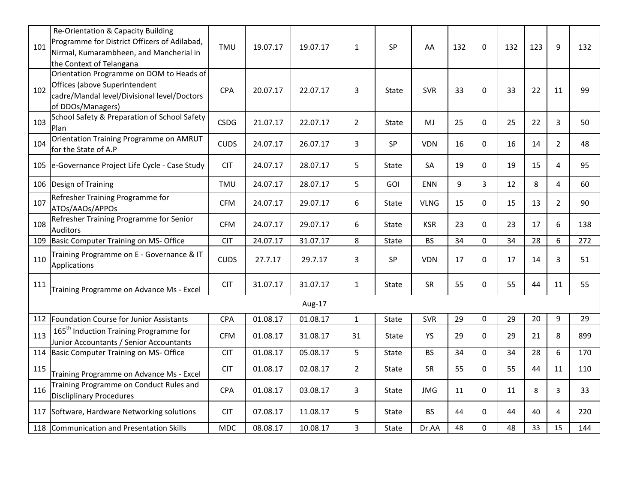| 101 | Re-Orientation & Capacity Building<br>Programme for District Officers of Adilabad,<br>Nirmal, Kumarambheen, and Mancherial in<br>the Context of Telangana | TMU         | 19.07.17 | 19.07.17 | $\mathbf{1}$   | SP           | AA          | 132 | $\Omega$     | 132 | 123 | 9              | 132 |
|-----|-----------------------------------------------------------------------------------------------------------------------------------------------------------|-------------|----------|----------|----------------|--------------|-------------|-----|--------------|-----|-----|----------------|-----|
| 102 | Orientation Programme on DOM to Heads of<br>Offices (above Superintendent<br>cadre/Mandal level/Divisional level/Doctors<br>of DDOs/Managers)             | CPA         | 20.07.17 | 22.07.17 | 3              | State        | <b>SVR</b>  | 33  | $\mathbf{0}$ | 33  | 22  | 11             | 99  |
| 103 | School Safety & Preparation of School Safety<br>Plan                                                                                                      | <b>CSDG</b> | 21.07.17 | 22.07.17 | $\overline{2}$ | State        | MJ          | 25  | 0            | 25  | 22  | 3              | 50  |
| 104 | Orientation Training Programme on AMRUT<br>for the State of A.P                                                                                           | <b>CUDS</b> | 24.07.17 | 26.07.17 | 3              | SP           | <b>VDN</b>  | 16  | $\Omega$     | 16  | 14  | $\overline{2}$ | 48  |
|     | 105 e-Governance Project Life Cycle - Case Study                                                                                                          | <b>CIT</b>  | 24.07.17 | 28.07.17 | 5              | State        | <b>SA</b>   | 19  | $\Omega$     | 19  | 15  | 4              | 95  |
|     | 106 Design of Training                                                                                                                                    | <b>TMU</b>  | 24.07.17 | 28.07.17 | 5              | GOI          | <b>ENN</b>  | 9   | 3            | 12  | 8   | 4              | 60  |
| 107 | Refresher Training Programme for<br>ATOs/AAOs/APPOs                                                                                                       | <b>CFM</b>  | 24.07.17 | 29.07.17 | 6              | State        | <b>VLNG</b> | 15  | 0            | 15  | 13  | $\overline{2}$ | 90  |
| 108 | Refresher Training Programme for Senior<br><b>Auditors</b>                                                                                                | <b>CFM</b>  | 24.07.17 | 29.07.17 | 6              | State        | <b>KSR</b>  | 23  | $\Omega$     | 23  | 17  | 6              | 138 |
| 109 | Basic Computer Training on MS- Office                                                                                                                     | <b>CIT</b>  | 24.07.17 | 31.07.17 | 8              | State        | <b>BS</b>   | 34  | 0            | 34  | 28  | 6              | 272 |
| 110 | Training Programme on E - Governance & IT<br>Applications                                                                                                 | <b>CUDS</b> | 27.7.17  | 29.7.17  | 3              | <b>SP</b>    | <b>VDN</b>  | 17  | 0            | 17  | 14  | 3              | 51  |
| 111 | Training Programme on Advance Ms - Excel                                                                                                                  | <b>CIT</b>  | 31.07.17 | 31.07.17 | $\mathbf{1}$   | State        | <b>SR</b>   | 55  | 0            | 55  | 44  | 11             | 55  |
|     |                                                                                                                                                           |             |          | Aug-17   |                |              |             |     |              |     |     |                |     |
|     | 112 Foundation Course for Junior Assistants                                                                                                               | <b>CPA</b>  | 01.08.17 | 01.08.17 | $\mathbf{1}$   | State        | <b>SVR</b>  | 29  | $\Omega$     | 29  | 20  | 9              | 29  |
| 113 | 165 <sup>th</sup> Induction Training Programme for<br>Junior Accountants / Senior Accountants                                                             | <b>CFM</b>  | 01.08.17 | 31.08.17 | 31             | State        | YS          | 29  | 0            | 29  | 21  | 8              | 899 |
| 114 | Basic Computer Training on MS- Office                                                                                                                     | <b>CIT</b>  | 01.08.17 | 05.08.17 | 5              | State        | <b>BS</b>   | 34  | 0            | 34  | 28  | 6              | 170 |
| 115 | Training Programme on Advance Ms - Excel                                                                                                                  | <b>CIT</b>  | 01.08.17 | 02.08.17 | $\overline{2}$ | State        | SR          | 55  | 0            | 55  | 44  | 11             | 110 |
| 116 | Training Programme on Conduct Rules and<br><b>Discliplinary Procedures</b>                                                                                | CPA         | 01.08.17 | 03.08.17 | 3              | State        | <b>JMG</b>  | 11  | $\Omega$     | 11  | 8   | 3              | 33  |
|     | 117 Software, Hardware Networking solutions                                                                                                               | <b>CIT</b>  | 07.08.17 | 11.08.17 | 5              | <b>State</b> | <b>BS</b>   | 44  | $\Omega$     | 44  | 40  | 4              | 220 |
|     | 118 Communication and Presentation Skills                                                                                                                 | <b>MDC</b>  | 08.08.17 | 10.08.17 | $\overline{3}$ | <b>State</b> | Dr.AA       | 48  | $\Omega$     | 48  | 33  | 15             | 144 |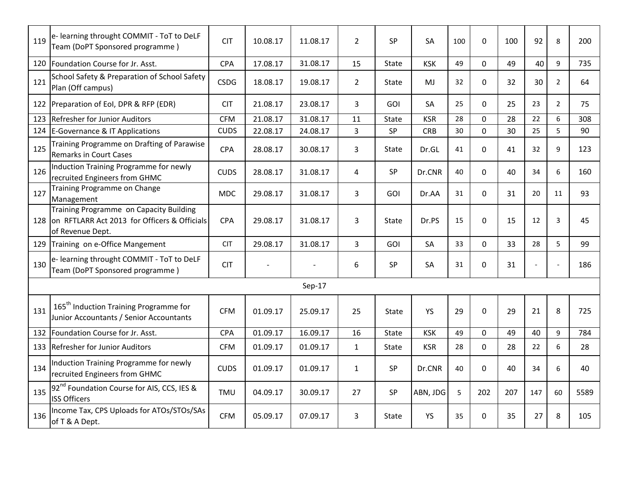| 119 | e- learning throught COMMIT - ToT to DeLF<br>Team (DoPT Sponsored programme)                                | <b>CIT</b>  | 10.08.17 | 11.08.17 | $\overline{2}$ | <b>SP</b>    | SA         | 100 | 0            | 100 | 92  | 8              | 200  |
|-----|-------------------------------------------------------------------------------------------------------------|-------------|----------|----------|----------------|--------------|------------|-----|--------------|-----|-----|----------------|------|
| 120 | Foundation Course for Jr. Asst.                                                                             | CPA         | 17.08.17 | 31.08.17 | 15             | State        | <b>KSK</b> | 49  | $\Omega$     | 49  | 40  | 9              | 735  |
| 121 | School Safety & Preparation of School Safety<br>Plan (Off campus)                                           | <b>CSDG</b> | 18.08.17 | 19.08.17 | $\overline{2}$ | State        | MJ         | 32  | $\mathbf{0}$ | 32  | 30  | $\overline{2}$ | 64   |
| 122 | Preparation of EoI, DPR & RFP (EDR)                                                                         | <b>CIT</b>  | 21.08.17 | 23.08.17 | 3              | <b>GOI</b>   | <b>SA</b>  | 25  | 0            | 25  | 23  | $\overline{2}$ | 75   |
| 123 | <b>Refresher for Junior Auditors</b>                                                                        | <b>CFM</b>  | 21.08.17 | 31.08.17 | 11             | State        | <b>KSR</b> | 28  | 0            | 28  | 22  | 6              | 308  |
| 124 | E-Governance & IT Applications                                                                              | <b>CUDS</b> | 22.08.17 | 24.08.17 | $\overline{3}$ | SP           | <b>CRB</b> | 30  | $\mathbf 0$  | 30  | 25  | 5              | 90   |
| 125 | Training Programme on Drafting of Parawise<br><b>Remarks in Court Cases</b>                                 | <b>CPA</b>  | 28.08.17 | 30.08.17 | 3              | State        | Dr.GL      | 41  | 0            | 41  | 32  | 9              | 123  |
| 126 | Induction Training Programme for newly<br>recruited Engineers from GHMC                                     | <b>CUDS</b> | 28.08.17 | 31.08.17 | 4              | SP           | Dr.CNR     | 40  | $\Omega$     | 40  | 34  | 6              | 160  |
| 127 | Training Programme on Change<br>Management                                                                  | <b>MDC</b>  | 29.08.17 | 31.08.17 | $\overline{3}$ | GOI          | Dr.AA      | 31  | $\Omega$     | 31  | 20  | 11             | 93   |
| 128 | Training Programme on Capacity Building<br>on RFTLARR Act 2013 for Officers & Officials<br>of Revenue Dept. | <b>CPA</b>  | 29.08.17 | 31.08.17 | 3              | State        | Dr.PS      | 15  | $\Omega$     | 15  | 12  | 3              | 45   |
| 129 | Training on e-Office Mangement                                                                              | <b>CIT</b>  | 29.08.17 | 31.08.17 | 3              | <b>GOI</b>   | <b>SA</b>  | 33  | 0            | 33  | 28  | 5              | 99   |
| 130 | e- learning throught COMMIT - ToT to DeLF<br>Team (DoPT Sponsored programme)                                | <b>CIT</b>  |          |          | 6              | <b>SP</b>    | SA         | 31  | 0            | 31  |     |                | 186  |
|     |                                                                                                             |             |          | Sep-17   |                |              |            |     |              |     |     |                |      |
| 131 | 165 <sup>th</sup> Induction Training Programme for<br>Junior Accountants / Senior Accountants               | <b>CFM</b>  | 01.09.17 | 25.09.17 | 25             | State        | YS         | 29  | $\Omega$     | 29  | 21  | 8              | 725  |
| 132 | Foundation Course for Jr. Asst.                                                                             | <b>CPA</b>  | 01.09.17 | 16.09.17 | 16             | <b>State</b> | <b>KSK</b> | 49  | $\Omega$     | 49  | 40  | 9              | 784  |
| 133 | Refresher for Junior Auditors                                                                               | <b>CFM</b>  | 01.09.17 | 01.09.17 | $\mathbf{1}$   | State        | <b>KSR</b> | 28  | 0            | 28  | 22  | 6              | 28   |
| 134 | Induction Training Programme for newly<br>recruited Engineers from GHMC                                     | <b>CUDS</b> | 01.09.17 | 01.09.17 | $\mathbf{1}$   | SP           | Dr.CNR     | 40  | $\Omega$     | 40  | 34  | 6              | 40   |
| 135 | 92 <sup>nd</sup> Foundation Course for AIS, CCS, IES &<br><b>ISS Officers</b>                               | TMU         | 04.09.17 | 30.09.17 | 27             | SP           | ABN, JDG   | 5   | 202          | 207 | 147 | 60             | 5589 |
| 136 | Income Tax, CPS Uploads for ATOs/STOs/SAs<br>of T & A Dept.                                                 | <b>CFM</b>  | 05.09.17 | 07.09.17 | 3              | State        | <b>YS</b>  | 35  | $\Omega$     | 35  | 27  | 8              | 105  |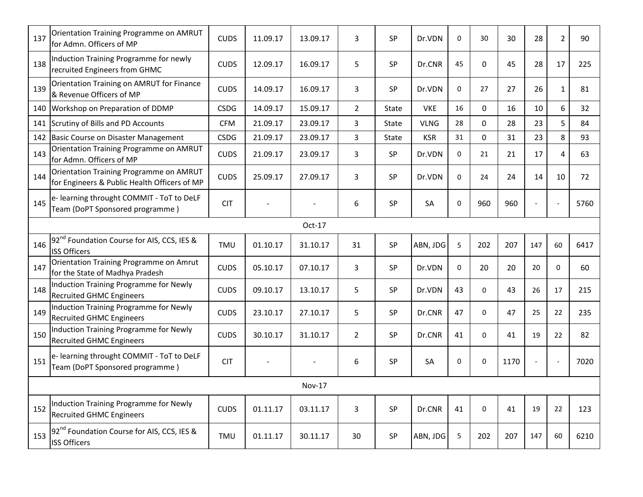| 137 | Orientation Training Programme on AMRUT<br>for Admn. Officers of MP                     | <b>CUDS</b> | 11.09.17 | 13.09.17 | 3              | <b>SP</b>    | Dr.VDN      | 0         | 30          | 30   | 28                       | 2            | 90   |
|-----|-----------------------------------------------------------------------------------------|-------------|----------|----------|----------------|--------------|-------------|-----------|-------------|------|--------------------------|--------------|------|
| 138 | Induction Training Programme for newly<br>recruited Engineers from GHMC                 | <b>CUDS</b> | 12.09.17 | 16.09.17 | 5              | SP           | Dr.CNR      | 45        | 0           | 45   | 28                       | 17           | 225  |
| 139 | Orientation Training on AMRUT for Finance<br>& Revenue Officers of MP                   | <b>CUDS</b> | 14.09.17 | 16.09.17 | 3              | SP           | Dr.VDN      | 0         | 27          | 27   | 26                       | $\mathbf{1}$ | 81   |
| 140 | Workshop on Preparation of DDMP                                                         | <b>CSDG</b> | 14.09.17 | 15.09.17 | $\overline{2}$ | State        | <b>VKE</b>  | 16        | $\Omega$    | 16   | 10                       | 6            | 32   |
| 141 | Scrutiny of Bills and PD Accounts                                                       | <b>CFM</b>  | 21.09.17 | 23.09.17 | 3              | <b>State</b> | <b>VLNG</b> | 28        | $\Omega$    | 28   | 23                       | 5            | 84   |
| 142 | Basic Course on Disaster Management                                                     | <b>CSDG</b> | 21.09.17 | 23.09.17 | $\overline{3}$ | State        | <b>KSR</b>  | 31        | $\Omega$    | 31   | 23                       | 8            | 93   |
| 143 | Orientation Training Programme on AMRUT<br>for Admn. Officers of MP                     | <b>CUDS</b> | 21.09.17 | 23.09.17 | 3              | <b>SP</b>    | Dr.VDN      | 0         | 21          | 21   | 17                       | 4            | 63   |
| 144 | Orientation Training Programme on AMRUT<br>for Engineers & Public Health Officers of MP | <b>CUDS</b> | 25.09.17 | 27.09.17 | 3              | SP           | Dr.VDN      | 0         | 24          | 24   | 14                       | 10           | 72   |
| 145 | e- learning throught COMMIT - ToT to DeLF<br>Team (DoPT Sponsored programme)            | <b>CIT</b>  |          |          | 6              | <b>SP</b>    | <b>SA</b>   | $\pmb{0}$ | 960         | 960  | $\overline{\phantom{a}}$ |              | 5760 |
|     |                                                                                         |             |          | Oct-17   |                |              |             |           |             |      |                          |              |      |
| 146 | 92 <sup>nd</sup> Foundation Course for AIS, CCS, IES &<br><b>ISS Officers</b>           | <b>TMU</b>  | 01.10.17 | 31.10.17 | 31             | SP           | ABN, JDG    | 5         | 202         | 207  | 147                      | 60           | 6417 |
| 147 | Orientation Training Programme on Amrut<br>for the State of Madhya Pradesh              | <b>CUDS</b> | 05.10.17 | 07.10.17 | 3              | SP           | Dr.VDN      | 0         | 20          | 20   | 20                       | $\mathbf 0$  | 60   |
| 148 | Induction Training Programme for Newly<br><b>Recruited GHMC Engineers</b>               | <b>CUDS</b> | 09.10.17 | 13.10.17 | 5              | <b>SP</b>    | Dr.VDN      | 43        | $\Omega$    | 43   | 26                       | 17           | 215  |
| 149 | Induction Training Programme for Newly<br><b>Recruited GHMC Engineers</b>               | <b>CUDS</b> | 23.10.17 | 27.10.17 | 5              | SP           | Dr.CNR      | 47        | $\mathbf 0$ | 47   | 25                       | 22           | 235  |
| 150 | Induction Training Programme for Newly<br><b>Recruited GHMC Engineers</b>               | <b>CUDS</b> | 30.10.17 | 31.10.17 | $\overline{2}$ | SP           | Dr.CNR      | 41        | $\Omega$    | 41   | 19                       | 22           | 82   |
| 151 | e- learning throught COMMIT - ToT to DeLF<br>Team (DoPT Sponsored programme)            | <b>CIT</b>  |          |          | 6              | SP           | SA          | 0         | 0           | 1170 | $\overline{a}$           |              | 7020 |
|     |                                                                                         |             |          | Nov-17   |                |              |             |           |             |      |                          |              |      |
| 152 | Induction Training Programme for Newly<br><b>Recruited GHMC Engineers</b>               | <b>CUDS</b> | 01.11.17 | 03.11.17 | 3              | <b>SP</b>    | Dr.CNR      | 41        | $\mathbf 0$ | 41   | 19                       | 22           | 123  |
| 153 | 92 <sup>nd</sup> Foundation Course for AIS, CCS, IES &<br><b>ISS Officers</b>           | <b>TMU</b>  | 01.11.17 | 30.11.17 | 30             | <b>SP</b>    | ABN, JDG    | 5         | 202         | 207  | 147                      | 60           | 6210 |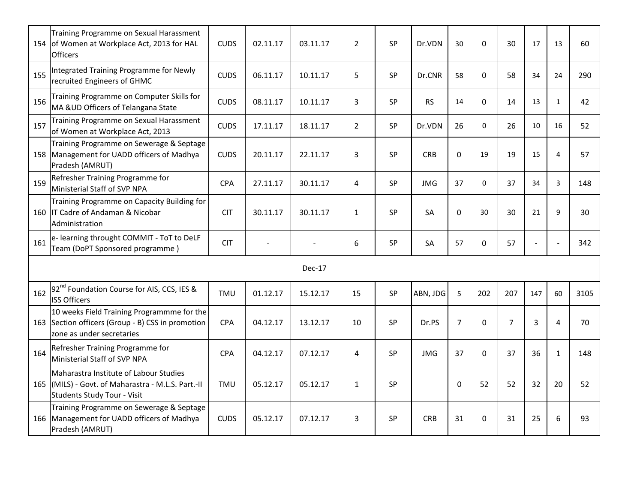|     | Training Programme on Sexual Harassment<br>154 of Women at Workplace Act, 2013 for HAL<br><b>Officers</b>                    | <b>CUDS</b> | 02.11.17 | 03.11.17 | $\overline{2}$ | SP        | Dr.VDN     | 30             | $\mathbf 0$ | 30             | 17                       | 13             | 60   |
|-----|------------------------------------------------------------------------------------------------------------------------------|-------------|----------|----------|----------------|-----------|------------|----------------|-------------|----------------|--------------------------|----------------|------|
| 155 | Integrated Training Programme for Newly<br>recruited Engineers of GHMC                                                       | <b>CUDS</b> | 06.11.17 | 10.11.17 | 5              | SP        | Dr.CNR     | 58             | $\mathbf 0$ | 58             | 34                       | 24             | 290  |
| 156 | Training Programme on Computer Skills for<br>MA & UD Officers of Telangana State                                             | <b>CUDS</b> | 08.11.17 | 10.11.17 | 3              | SP        | <b>RS</b>  | 14             | $\mathbf 0$ | 14             | 13                       | $\mathbf{1}$   | 42   |
| 157 | Training Programme on Sexual Harassment<br>of Women at Workplace Act, 2013                                                   | <b>CUDS</b> | 17.11.17 | 18.11.17 | $\overline{2}$ | SP        | Dr.VDN     | 26             | 0           | 26             | 10                       | 16             | 52   |
|     | Training Programme on Sewerage & Septage<br>158 Management for UADD officers of Madhya<br>Pradesh (AMRUT)                    | <b>CUDS</b> | 20.11.17 | 22.11.17 | 3              | SP        | <b>CRB</b> | $\mathbf 0$    | 19          | 19             | 15                       | 4              | 57   |
| 159 | Refresher Training Programme for<br>Ministerial Staff of SVP NPA                                                             | <b>CPA</b>  | 27.11.17 | 30.11.17 | 4              | <b>SP</b> | <b>JMG</b> | 37             | $\mathbf 0$ | 37             | 34                       | 3              | 148  |
|     | Training Programme on Capacity Building for<br>160 IT Cadre of Andaman & Nicobar<br>Administration                           | <b>CIT</b>  | 30.11.17 | 30.11.17 | $\mathbf{1}$   | <b>SP</b> | <b>SA</b>  | 0              | 30          | 30             | 21                       | 9              | 30   |
| 161 | e- learning throught COMMIT - ToT to DeLF<br>Team (DoPT Sponsored programme)                                                 | <b>CIT</b>  |          |          | 6              | SP        | SA         | 57             | $\mathbf 0$ | 57             | $\overline{\phantom{a}}$ |                | 342  |
|     |                                                                                                                              |             |          | Dec-17   |                |           |            |                |             |                |                          |                |      |
| 162 | 92 <sup>nd</sup> Foundation Course for AIS, CCS, IES &<br><b>ISS Officers</b>                                                | <b>TMU</b>  | 01.12.17 | 15.12.17 | 15             | SP        | ABN, JDG   | 5              | 202         | 207            | 147                      | 60             | 3105 |
|     | 10 weeks Field Training Programmme for the<br>163 Section officers (Group - B) CSS in promotion<br>zone as under secretaries | <b>CPA</b>  | 04.12.17 | 13.12.17 | 10             | <b>SP</b> | Dr.PS      | $\overline{7}$ | $\Omega$    | $\overline{7}$ | 3                        | $\overline{4}$ | 70   |
| 164 | Refresher Training Programme for<br>Ministerial Staff of SVP NPA                                                             | <b>CPA</b>  | 04.12.17 | 07.12.17 | 4              | SP        | <b>JMG</b> | 37             | $\Omega$    | 37             | 36                       | $\mathbf{1}$   | 148  |
|     | Maharastra Institute of Labour Studies<br>165 (MILS) - Govt. of Maharastra - M.L.S. Part.-II<br>Students Study Tour - Visit  | TMU         | 05.12.17 | 05.12.17 | $\mathbf{1}$   | SP        |            | 0              | 52          | 52             | 32                       | 20             | 52   |
|     | Training Programme on Sewerage & Septage<br>166 Management for UADD officers of Madhya<br>Pradesh (AMRUT)                    | <b>CUDS</b> | 05.12.17 | 07.12.17 | 3              | SP        | <b>CRB</b> | 31             | 0           | 31             | 25                       | 6              | 93   |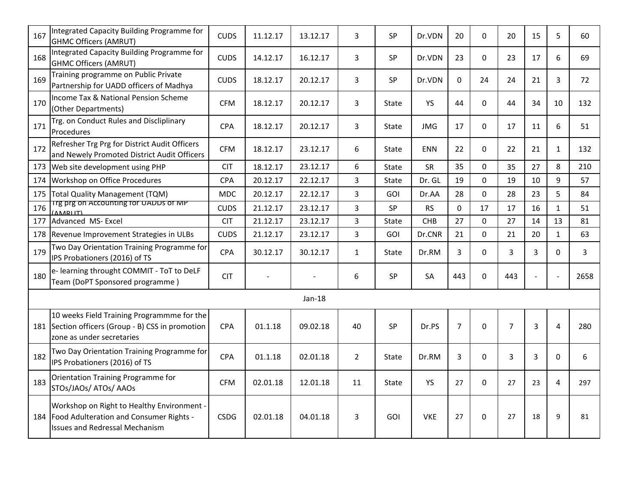| 167 | Integrated Capacity Building Programme for<br><b>GHMC Officers (AMRUT)</b>                                                         | <b>CUDS</b> | 11.12.17 | 13.12.17 | 3              | SP         | Dr.VDN     | 20             | 0           | 20             | 15             | 5              | 60   |
|-----|------------------------------------------------------------------------------------------------------------------------------------|-------------|----------|----------|----------------|------------|------------|----------------|-------------|----------------|----------------|----------------|------|
| 168 | Integrated Capacity Building Programme for<br><b>GHMC Officers (AMRUT)</b>                                                         | <b>CUDS</b> | 14.12.17 | 16.12.17 | 3              | <b>SP</b>  | Dr.VDN     | 23             | $\Omega$    | 23             | 17             | 6              | 69   |
| 169 | Training programme on Public Private<br>Partnership for UADD officers of Madhya                                                    | <b>CUDS</b> | 18.12.17 | 20.12.17 | $\overline{3}$ | <b>SP</b>  | Dr.VDN     | $\mathbf{0}$   | 24          | 24             | 21             | 3              | 72   |
| 170 | Income Tax & National Pension Scheme<br>(Other Departments)                                                                        | <b>CFM</b>  | 18.12.17 | 20.12.17 | 3              | State      | YS         | 44             | 0           | 44             | 34             | 10             | 132  |
| 171 | Trg. on Conduct Rules and Discliplinary<br>Procedures                                                                              | CPA         | 18.12.17 | 20.12.17 | 3              | State      | <b>JMG</b> | 17             | 0           | 17             | 11             | 6              | 51   |
| 172 | Refresher Trg Prg for District Audit Officers<br>and Newely Promoted District Audit Officers                                       | <b>CFM</b>  | 18.12.17 | 23.12.17 | 6              | State      | <b>ENN</b> | 22             | $\Omega$    | 22             | 21             | $\mathbf{1}$   | 132  |
| 173 | Web site development using PHP                                                                                                     | <b>CIT</b>  | 18.12.17 | 23.12.17 | 6              | State      | SR         | 35             | 0           | 35             | 27             | 8              | 210  |
| 174 | Workshop on Office Procedures                                                                                                      | <b>CPA</b>  | 20.12.17 | 22.12.17 | 3              | State      | Dr. GL     | 19             | $\mathbf 0$ | 19             | 10             | 9              | 57   |
| 175 | Total Quality Management (TQM)                                                                                                     | <b>MDC</b>  | 20.12.17 | 22.12.17 | $\mathbf{3}$   | GOI        | Dr.AA      | 28             | $\mathbf 0$ | 28             | 23             | 5              | 84   |
| 176 | Trg prg on Accounting for UADDS of MP<br>(AMRIIT)                                                                                  | <b>CUDS</b> | 21.12.17 | 23.12.17 | 3              | SP         | <b>RS</b>  | $\mathbf 0$    | 17          | 17             | 16             | $\mathbf{1}$   | 51   |
| 177 | Advanced MS-Excel                                                                                                                  | <b>CIT</b>  | 21.12.17 | 23.12.17 | $\overline{3}$ | State      | CHB        | 27             | 0           | 27             | 14             | 13             | 81   |
|     | 178 Revenue Improvement Strategies in ULBs                                                                                         | <b>CUDS</b> | 21.12.17 | 23.12.17 | $\overline{3}$ | <b>GOI</b> | Dr.CNR     | 21             | $\mathbf 0$ | 21             | 20             | $\mathbf{1}$   | 63   |
| 179 | Two Day Orientation Training Programme for<br>IPS Probationers (2016) of TS                                                        | CPA         | 30.12.17 | 30.12.17 | $\mathbf{1}$   | State      | Dr.RM      | 3              | $\Omega$    | 3              | 3              | $\Omega$       | 3    |
| 180 | e- learning throught COMMIT - ToT to DeLF<br>Team (DoPT Sponsored programme)                                                       | <b>CIT</b>  |          |          | 6              | SP         | SA         | 443            | $\Omega$    | 443            | $\overline{a}$ |                | 2658 |
|     |                                                                                                                                    |             |          | Jan-18   |                |            |            |                |             |                |                |                |      |
|     | 10 weeks Field Training Programmme for the<br>181 Section officers (Group - B) CSS in promotion<br>zone as under secretaries       | CPA         | 01.1.18  | 09.02.18 | 40             | SP         | Dr.PS      | $\overline{7}$ | $\mathbf 0$ | $\overline{7}$ | 3              | $\overline{4}$ | 280  |
| 182 | Two Day Orientation Training Programme for<br>IPS Probationers (2016) of TS                                                        | CPA         | 01.1.18  | 02.01.18 | $\overline{2}$ | State      | Dr.RM      | 3              | $\Omega$    | 3              | 3              | 0              | 6    |
| 183 | Orientation Training Programme for<br>STOs/JAOs/ ATOs/ AAOs                                                                        | <b>CFM</b>  | 02.01.18 | 12.01.18 | 11             | State      | YS         | 27             | $\mathbf 0$ | 27             | 23             | 4              | 297  |
|     | Workshop on Right to Healthy Environment -<br>184 Food Adulteration and Consumer Rights -<br><b>Issues and Redressal Mechanism</b> | <b>CSDG</b> | 02.01.18 | 04.01.18 | 3              | GOI        | <b>VKE</b> | 27             | $\mathbf 0$ | 27             | 18             | 9              | 81   |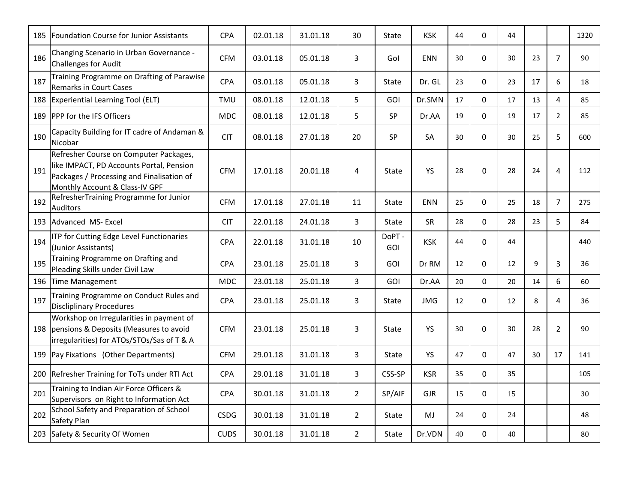| 185 | <b>Foundation Course for Junior Assistants</b>                                                                                                                    | <b>CPA</b>  | 02.01.18 | 31.01.18 | 30             | State        | <b>KSK</b> | 44 | $\Omega$    | 44 |    |                | 1320 |
|-----|-------------------------------------------------------------------------------------------------------------------------------------------------------------------|-------------|----------|----------|----------------|--------------|------------|----|-------------|----|----|----------------|------|
| 186 | Changing Scenario in Urban Governance -<br><b>Challenges for Audit</b>                                                                                            | <b>CFM</b>  | 03.01.18 | 05.01.18 | 3              | Gol          | <b>ENN</b> | 30 | 0           | 30 | 23 | $\overline{7}$ | 90   |
| 187 | Training Programme on Drafting of Parawise<br><b>Remarks in Court Cases</b>                                                                                       | <b>CPA</b>  | 03.01.18 | 05.01.18 | 3              | State        | Dr. GL     | 23 | 0           | 23 | 17 | 6              | 18   |
| 188 | Experiential Learning Tool (ELT)                                                                                                                                  | TMU         | 08.01.18 | 12.01.18 | 5              | GOI          | Dr.SMN     | 17 | 0           | 17 | 13 | 4              | 85   |
| 189 | <b>IPPP for the IFS Officers</b>                                                                                                                                  | <b>MDC</b>  | 08.01.18 | 12.01.18 | 5              | SP           | Dr.AA      | 19 | $\Omega$    | 19 | 17 | $\overline{2}$ | 85   |
| 190 | Capacity Building for IT cadre of Andaman &<br>Nicobar                                                                                                            | <b>CIT</b>  | 08.01.18 | 27.01.18 | 20             | SP           | SA         | 30 | $\Omega$    | 30 | 25 | 5              | 600  |
| 191 | Refresher Course on Computer Packages,<br>like IMPACT, PD Accounts Portal, Pension<br>Packages / Processing and Finalisation of<br>Monthly Account & Class-IV GPF | <b>CFM</b>  | 17.01.18 | 20.01.18 | 4              | <b>State</b> | YS         | 28 | $\Omega$    | 28 | 24 | $\overline{4}$ | 112  |
| 192 | RefresherTraining Programme for Junior<br><b>Auditors</b>                                                                                                         | <b>CFM</b>  | 17.01.18 | 27.01.18 | 11             | <b>State</b> | <b>ENN</b> | 25 | $\mathbf 0$ | 25 | 18 | $\overline{7}$ | 275  |
| 193 | Advanced MS-Excel                                                                                                                                                 | <b>CIT</b>  | 22.01.18 | 24.01.18 | 3              | <b>State</b> | SR         | 28 | 0           | 28 | 23 | 5              | 84   |
| 194 | ITP for Cutting Edge Level Functionaries<br>(Junior Assistants)                                                                                                   | CPA         | 22.01.18 | 31.01.18 | 10             | DoPT-<br>GOI | <b>KSK</b> | 44 | $\mathbf 0$ | 44 |    |                | 440  |
| 195 | Training Programme on Drafting and<br>Pleading Skills under Civil Law                                                                                             | <b>CPA</b>  | 23.01.18 | 25.01.18 | $\overline{3}$ | <b>GOI</b>   | Dr RM      | 12 | 0           | 12 | 9  | 3              | 36   |
| 196 | Time Management                                                                                                                                                   | <b>MDC</b>  | 23.01.18 | 25.01.18 | $\overline{3}$ | GOI          | Dr.AA      | 20 | 0           | 20 | 14 | 6              | 60   |
| 197 | Training Programme on Conduct Rules and<br><b>Discliplinary Procedures</b>                                                                                        | CPA         | 23.01.18 | 25.01.18 | 3              | State        | <b>JMG</b> | 12 | 0           | 12 | 8  | 4              | 36   |
|     | Workshop on Irregularities in payment of<br>198 pensions & Deposits (Measures to avoid<br>irregularities) for ATOs/STOs/Sas of T & A                              | <b>CFM</b>  | 23.01.18 | 25.01.18 | 3              | State        | <b>YS</b>  | 30 | $\mathbf 0$ | 30 | 28 | 2              | 90   |
|     | 199 Pay Fixations (Other Departments)                                                                                                                             | <b>CFM</b>  | 29.01.18 | 31.01.18 | 3              | State        | <b>YS</b>  | 47 | $\Omega$    | 47 | 30 | 17             | 141  |
| 200 | Refresher Training for ToTs under RTI Act                                                                                                                         | <b>CPA</b>  | 29.01.18 | 31.01.18 | 3              | CSS-SP       | <b>KSR</b> | 35 | 0           | 35 |    |                | 105  |
| 201 | Training to Indian Air Force Officers &<br>Supervisors on Right to Information Act                                                                                | <b>CPA</b>  | 30.01.18 | 31.01.18 | $\overline{2}$ | SP/AIF       | <b>GJR</b> | 15 | 0           | 15 |    |                | 30   |
| 202 | School Safety and Preparation of School<br>Safety Plan                                                                                                            | <b>CSDG</b> | 30.01.18 | 31.01.18 | $\overline{2}$ | State        | MJ         | 24 | $\mathbf 0$ | 24 |    |                | 48   |
|     | 203 Safety & Security Of Women                                                                                                                                    | <b>CUDS</b> | 30.01.18 | 31.01.18 | $\overline{2}$ | State        | Dr.VDN     | 40 | 0           | 40 |    |                | 80   |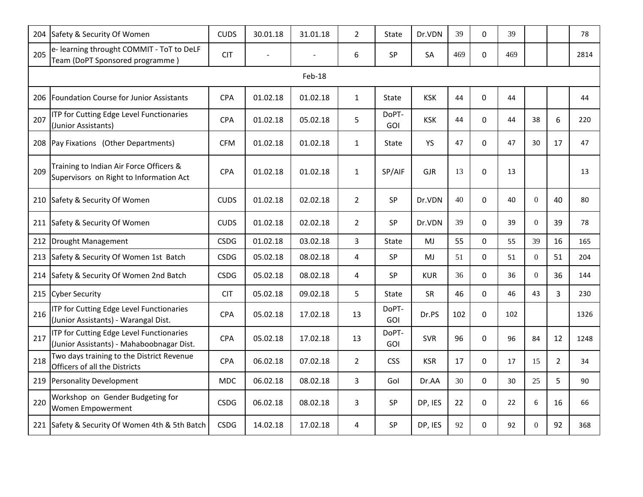|        | 204 Safety & Security Of Women                                                        | <b>CUDS</b> | 30.01.18 | 31.01.18 | $\overline{2}$ | <b>State</b>        | Dr.VDN     | 39  | $\Omega$     | 39  |                |                | 78   |
|--------|---------------------------------------------------------------------------------------|-------------|----------|----------|----------------|---------------------|------------|-----|--------------|-----|----------------|----------------|------|
| 205    | e- learning throught COMMIT - ToT to DeLF<br>Team (DoPT Sponsored programme)          | <b>CIT</b>  |          |          | 6              | <b>SP</b>           | SA         | 469 | 0            | 469 |                |                | 2814 |
| Feb-18 |                                                                                       |             |          |          |                |                     |            |     |              |     |                |                |      |
|        | 206   Foundation Course for Junior Assistants                                         | <b>CPA</b>  | 01.02.18 | 01.02.18 | $\mathbf{1}$   | State               | <b>KSK</b> | 44  | $\mathbf 0$  | 44  |                |                | 44   |
| 207    | ITP for Cutting Edge Level Functionaries<br>(Junior Assistants)                       | <b>CPA</b>  | 01.02.18 | 05.02.18 | 5              | DoPT-<br>GOI        | <b>KSK</b> | 44  | $\Omega$     | 44  | 38             | 6              | 220  |
|        | 208 Pay Fixations (Other Departments)                                                 | <b>CFM</b>  | 01.02.18 | 01.02.18 | $\mathbf{1}$   | State               | YS         | 47  | $\Omega$     | 47  | 30             | 17             | 47   |
| 209    | Training to Indian Air Force Officers &<br>Supervisors on Right to Information Act    | <b>CPA</b>  | 01.02.18 | 01.02.18 | $\mathbf{1}$   | SP/AIF              | <b>GJR</b> | 13  | $\Omega$     | 13  |                |                | 13   |
|        | 210 Safety & Security Of Women                                                        | <b>CUDS</b> | 01.02.18 | 02.02.18 | $\overline{2}$ | SP                  | Dr.VDN     | 40  | $\mathbf 0$  | 40  | $\Omega$       | 40             | 80   |
|        | 211 Safety & Security Of Women                                                        | <b>CUDS</b> | 01.02.18 | 02.02.18 | $\overline{2}$ | SP                  | Dr.VDN     | 39  | $\Omega$     | 39  | $\overline{0}$ | 39             | 78   |
|        | 212 Drought Management                                                                | <b>CSDG</b> | 01.02.18 | 03.02.18 | 3              | <b>State</b>        | MJ         | 55  | 0            | 55  | 39             | 16             | 165  |
| 213    | Safety & Security Of Women 1st Batch                                                  | <b>CSDG</b> | 05.02.18 | 08.02.18 | $\overline{4}$ | SP                  | MJ         | 51  | 0            | 51  | $\overline{0}$ | 51             | 204  |
|        | 214 Safety & Security Of Women 2nd Batch                                              | <b>CSDG</b> | 05.02.18 | 08.02.18 | $\overline{4}$ | SP                  | <b>KUR</b> | 36  | $\Omega$     | 36  | $\overline{0}$ | 36             | 144  |
|        | 215 Cyber Security                                                                    | <b>CIT</b>  | 05.02.18 | 09.02.18 | 5              | <b>State</b>        | <b>SR</b>  | 46  | $\Omega$     | 46  | 43             | 3              | 230  |
| 216    | ITP for Cutting Edge Level Functionaries<br>(Junior Assistants) - Warangal Dist.      | <b>CPA</b>  | 05.02.18 | 17.02.18 | 13             | DoPT-<br>GOI        | Dr.PS      | 102 | $\mathbf{0}$ | 102 |                |                | 1326 |
| 217    | ITP for Cutting Edge Level Functionaries<br>(Junior Assistants) - Mahaboobnagar Dist. | <b>CPA</b>  | 05.02.18 | 17.02.18 | 13             | DoPT-<br><b>GOI</b> | <b>SVR</b> | 96  | $\mathbf 0$  | 96  | 84             | 12             | 1248 |
| 218    | Two days training to the District Revenue<br>Officers of all the Districts            | <b>CPA</b>  | 06.02.18 | 07.02.18 | $\overline{2}$ | <b>CSS</b>          | <b>KSR</b> | 17  | $\Omega$     | 17  | 15             | $\overline{2}$ | 34   |
|        | 219 Personality Development                                                           | <b>MDC</b>  | 06.02.18 | 08.02.18 | 3              | Gol                 | Dr.AA      | 30  | 0            | 30  | 25             | 5              | 90   |
| 220    | Workshop on Gender Budgeting for<br>Women Empowerment                                 | <b>CSDG</b> | 06.02.18 | 08.02.18 | $\overline{3}$ | <b>SP</b>           | DP, IES    | 22  | $\Omega$     | 22  | 6              | 16             | 66   |
|        | 221 Safety & Security Of Women 4th & 5th Batch                                        | <b>CSDG</b> | 14.02.18 | 17.02.18 | 4              | <b>SP</b>           | DP, IES    | 92  | 0            | 92  | $\Omega$       | 92             | 368  |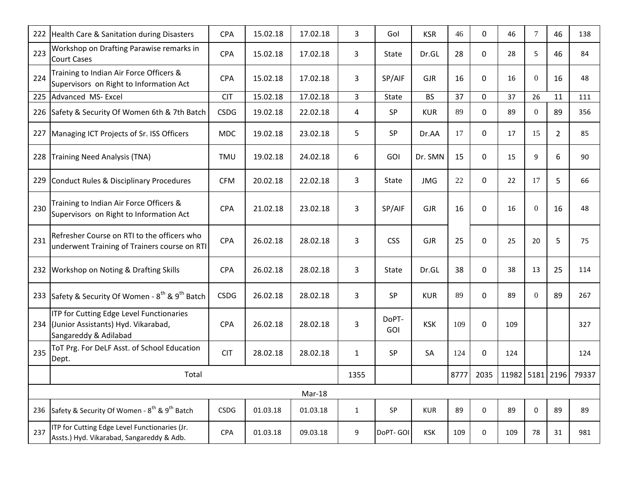|     | 222 Health Care & Sanitation during Disasters                                                                | <b>CPA</b>  | 15.02.18 | 17.02.18 | $\overline{3}$ | Gol          | <b>KSR</b> | 46   | 0           | 46              | $7\overline{ }$ | 46             | 138   |
|-----|--------------------------------------------------------------------------------------------------------------|-------------|----------|----------|----------------|--------------|------------|------|-------------|-----------------|-----------------|----------------|-------|
| 223 | Workshop on Drafting Parawise remarks in<br><b>Court Cases</b>                                               | CPA         | 15.02.18 | 17.02.18 | 3              | State        | Dr.GL      | 28   | 0           | 28              | 5               | 46             | 84    |
| 224 | Training to Indian Air Force Officers &<br>Supervisors on Right to Information Act                           | <b>CPA</b>  | 15.02.18 | 17.02.18 | 3              | SP/AIF       | <b>GJR</b> | 16   | $\Omega$    | 16              | $\overline{0}$  | 16             | 48    |
| 225 | Advanced MS- Excel                                                                                           | <b>CIT</b>  | 15.02.18 | 17.02.18 | $\overline{3}$ | State        | <b>BS</b>  | 37   | $\mathbf 0$ | 37              | 26              | 11             | 111   |
|     | 226 Safety & Security Of Women 6th & 7th Batch                                                               | <b>CSDG</b> | 19.02.18 | 22.02.18 | $\overline{4}$ | SP           | <b>KUR</b> | 89   | $\mathbf 0$ | 89              | $\overline{0}$  | 89             | 356   |
|     | 227 Managing ICT Projects of Sr. ISS Officers                                                                | <b>MDC</b>  | 19.02.18 | 23.02.18 | 5              | SP           | Dr.AA      | 17   | 0           | 17              | 15              | $\overline{2}$ | 85    |
|     | 228 Training Need Analysis (TNA)                                                                             | TMU         | 19.02.18 | 24.02.18 | 6              | GOI          | Dr. SMN    | 15   | $\Omega$    | 15              | 9               | 6              | 90    |
|     | 229 Conduct Rules & Disciplinary Procedures                                                                  | <b>CFM</b>  | 20.02.18 | 22.02.18 | 3              | State        | <b>JMG</b> | 22   | 0           | 22              | 17              | 5              | 66    |
| 230 | Training to Indian Air Force Officers &<br>Supervisors on Right to Information Act                           | <b>CPA</b>  | 21.02.18 | 23.02.18 | 3              | SP/AIF       | <b>GJR</b> | 16   | $\mathbf 0$ | 16              | $\overline{0}$  | 16             | 48    |
| 231 | Refresher Course on RTI to the officers who<br>underwent Training of Trainers course on RTI                  | CPA         | 26.02.18 | 28.02.18 | 3              | <b>CSS</b>   | <b>GJR</b> | 25   | $\mathbf 0$ | 25              | 20              | 5              | 75    |
|     | 232 Workshop on Noting & Drafting Skills                                                                     | <b>CPA</b>  | 26.02.18 | 28.02.18 | 3              | <b>State</b> | Dr.GL      | 38   | $\Omega$    | 38              | 13              | 25             | 114   |
|     | 233 Safety & Security Of Women - 8 <sup>th</sup> & 9 <sup>th</sup> Batch                                     | <b>CSDG</b> | 26.02.18 | 28.02.18 | 3              | SP           | <b>KUR</b> | 89   | $\Omega$    | 89              | $\overline{0}$  | 89             | 267   |
|     | ITP for Cutting Edge Level Functionaries<br>234 (Junior Assistants) Hyd. Vikarabad,<br>Sangareddy & Adilabad | CPA         | 26.02.18 | 28.02.18 | 3              | DoPT-<br>GOI | <b>KSK</b> | 109  | 0           | 109             |                 |                | 327   |
| 235 | ToT Prg. For DeLF Asst. of School Education<br>Dept.                                                         | <b>CIT</b>  | 28.02.18 | 28.02.18 | $\mathbf{1}$   | SP           | SA         | 124  | $\mathbf 0$ | 124             |                 |                | 124   |
|     | Total                                                                                                        |             |          |          | 1355           |              |            | 8777 | 2035        | 11982 5181 2196 |                 |                | 79337 |
|     | Mar-18                                                                                                       |             |          |          |                |              |            |      |             |                 |                 |                |       |
|     | 236 Safety & Security Of Women - 8 <sup>th</sup> & 9 <sup>th</sup> Batch                                     | <b>CSDG</b> | 01.03.18 | 01.03.18 | $\mathbf{1}$   | <b>SP</b>    | <b>KUR</b> | 89   | $\Omega$    | 89              | 0               | 89             | 89    |
| 237 | ITP for Cutting Edge Level Functionaries (Jr.<br>Assts.) Hyd. Vikarabad, Sangareddy & Adb.                   | CPA         | 01.03.18 | 09.03.18 | 9              | DoPT-GOI     | <b>KSK</b> | 109  | $\mathbf 0$ | 109             | 78              | 31             | 981   |